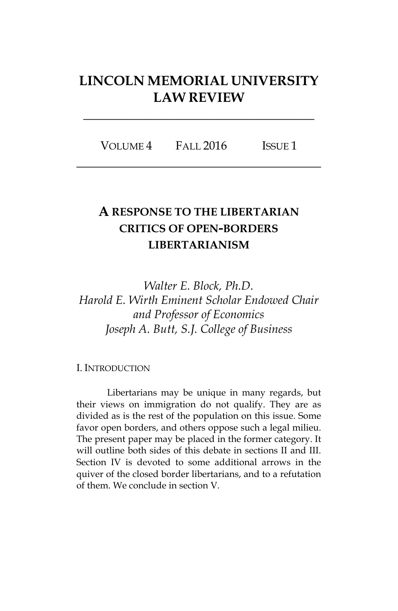# **LINCOLN MEMORIAL UNIVERSITY LAW REVIEW**

**\_\_\_\_\_\_\_\_\_\_\_\_\_\_\_\_\_\_\_\_\_\_\_\_\_\_\_\_\_\_\_\_\_\_**

VOLUME 4 FALL 2016 ISSUE 1 **\_\_\_\_\_\_\_\_\_\_\_\_\_\_\_\_\_\_\_\_\_\_\_\_\_\_\_\_\_\_\_\_\_\_\_\_**

# **A RESPONSE TO THE LIBERTARIAN CRITICS OF OPEN-BORDERS LIBERTARIANISM**

*Walter E. Block, Ph.D. Harold E. Wirth Eminent Scholar Endowed Chair and Professor of Economics Joseph A. Butt, S.J. College of Business*

#### I. INTRODUCTION

Libertarians may be unique in many regards, but their views on immigration do not qualify. They are as divided as is the rest of the population on this issue. Some favor open borders, and others oppose such a legal milieu. The present paper may be placed in the former category. It will outline both sides of this debate in sections II and III. Section IV is devoted to some additional arrows in the quiver of the closed border libertarians, and to a refutation of them. We conclude in section V.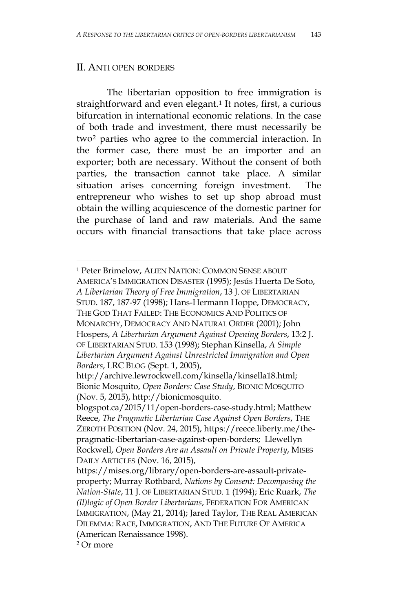### II. ANTI OPEN BORDERS

The libertarian opposition to free immigration is straightforward and even elegant.<sup>[1](#page-1-0)</sup> It notes, first, a curious bifurcation in international economic relations. In the case of both trade and investment, there must necessarily be two[2](#page-1-1) parties who agree to the commercial interaction. In the former case, there must be an importer and an exporter; both are necessary. Without the consent of both parties, the transaction cannot take place. A similar situation arises concerning foreign investment. The entrepreneur who wishes to set up shop abroad must obtain the willing acquiescence of the domestic partner for the purchase of land and raw materials. And the same occurs with financial transactions that take place across

l

<span id="page-1-0"></span><sup>1</sup> Peter Brimelow, ALIEN NATION: COMMON SENSE ABOUT AMERICA'S IMMIGRATION DISASTER (1995); Jesús Huerta De Soto, *A Libertarian Theory of Free Immigration*, 13 J. OF LIBERTARIAN STUD. 187, 187-97 (1998); Hans-Hermann Hoppe, DEMOCRACY, THE GOD THAT FAILED: THE ECONOMICS AND POLITICS OF MONARCHY, DEMOCRACY AND NATURAL ORDER (2001); John Hospers, *A Libertarian Argument Against Opening Borders*, 13:2 J. OF LIBERTARIAN STUD. 153 (1998); Stephan Kinsella, *A Simple Libertarian Argument Against Unrestricted Immigration and Open Borders*, LRC BLOG (Sept. 1, 2005),

http://archive.lewrockwell.com/kinsella/kinsella18.html; Bionic Mosquito, *Open Borders: Case Study*, BIONIC MOSQUITO (Nov. 5, 2015), http://bionicmosquito.

blogspot.ca/2015/11/open-borders-case-study.html; Matthew Reece, *The Pragmatic Libertarian Case Against Open Borders*, THE ZEROTH POSITION (Nov. 24, 2015), https://reece.liberty.me/thepragmatic-libertarian-case-against-open-borders; Llewellyn Rockwell, *Open Borders Are an Assault on Private Property*, MISES DAILY ARTICLES (Nov. 16, 2015),

https://mises.org/library/open-borders-are-assault-privateproperty; Murray Rothbard, *Nations by Consent: Decomposing the Nation-State*, 11 J. OF LIBERTARIAN STUD. 1 (1994); Eric Ruark, *The (Il)logic of Open Border Libertarians*, FEDERATION FOR AMERICAN IMMIGRATION, (May 21, 2014); Jared Taylor, THE REAL AMERICAN DILEMMA: RACE, IMMIGRATION, AND THE FUTURE OF AMERICA (American Renaissance 1998).

<span id="page-1-1"></span><sup>2</sup> Or more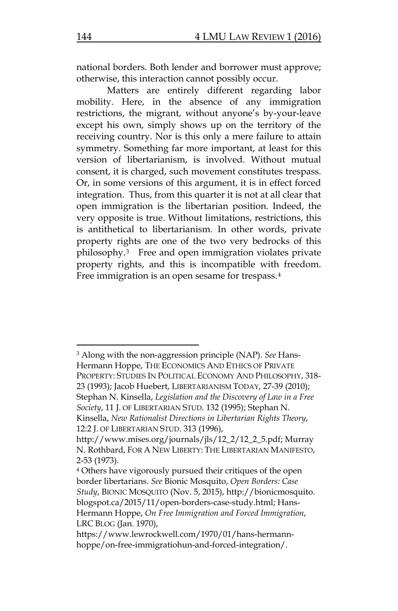national borders. Both lender and borrower must approve; otherwise, this interaction cannot possibly occur.

Matters are entirely different regarding labor mobility. Here, in the absence of any immigration restrictions, the migrant, without anyone's by-your-leave except his own, simply shows up on the territory of the receiving country. Nor is this only a mere failure to attain symmetry. Something far more important, at least for this version of libertarianism, is involved. Without mutual consent, it is charged, such movement constitutes trespass. Or, in some versions of this argument, it is in effect forced integration. Thus, from this quarter it is not at all clear that open immigration is the libertarian position. Indeed, the very opposite is true. Without limitations, restrictions, this is antithetical to libertarianism. In other words, private property rights are one of the two very bedrocks of this philosophy.[3](#page-2-0) Free and open immigration violates private property rights, and this is incompatible with freedom. Free immigration is an open sesame for trespass.[4](#page-2-1)

l

<span id="page-2-0"></span><sup>3</sup> Along with the non-aggression principle (NAP). *See* Hans-Hermann Hoppe, THE ECONOMICS AND ETHICS OF PRIVATE PROPERTY: STUDIES IN POLITICAL ECONOMY AND PHILOSOPHY, 318- 23 (1993); Jacob Huebert, LIBERTARIANISM TODAY, 27-39 (2010); Stephan N. Kinsella, *Legislation and the Discovery of Law in a Free Society*, 11 J. OF LIBERTARIAN STUD. 132 (1995); Stephan N. Kinsella, *New Rationalist Directions in Libertarian Rights Theory*, 12:2 J. OF LIBERTARIAN STUD. 313 (1996),

http://www.mises.org/journals/jls/12\_2/12\_2\_5.pdf; Murray N. Rothbard, FOR A NEW LIBERTY: THE LIBERTARIAN MANIFESTO, 2-53 (1973).

<span id="page-2-1"></span><sup>4</sup> Others have vigorously pursued their critiques of the open border libertarians. *See* Bionic Mosquito, *Open Borders: Case Study*, BIONIC MOSQUITO (Nov. 5, 2015), http://bionicmosquito. blogspot.ca/2015/11/open-borders-case-study.html; Hans-Hermann Hoppe, *On Free Immigration and Forced Immigration*, LRC BLOG (Jan. 1970),

https://www.lewrockwell.com/1970/01/hans-hermannhoppe/on-free-immigratiohun-and-forced-integration/.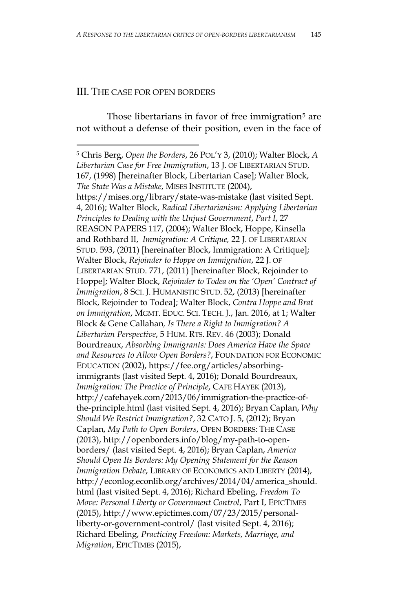#### III. THE CASE FOR OPEN BORDERS

 $\overline{\phantom{a}}$ 

Those libertarians in favor of free immigration<sup>[5](#page-3-0)</sup> are not without a defense of their position, even in the face of

<span id="page-3-0"></span><sup>5</sup> Chris Berg, *Open the Borders*, 26 POL'Y 3, (2010); Walter Block, *A Libertarian Case for Free Immigration*, 13 J. OF LIBERTARIAN STUD. 167, (1998) [hereinafter Block, Libertarian Case]; Walter Block, *The State Was a Mistake*, MISES INSTITUTE (2004), https://mises.org/library/state-was-mistake (last visited Sept. 4, 2016); Walter Block, *Radical Libertarianism: Applying Libertarian Principles to Dealing with the Unjust Government*, *Part I*, 27 REASON PAPERS 117, (2004); Walter Block, Hoppe, Kinsella and Rothbard II, *Immigration: A Critique,* 22 J. OF LIBERTARIAN STUD. 593, (2011) [hereinafter Block, Immigration: A Critique]; Walter Block, *Rejoinder to Hoppe on Immigration*, 22 J. OF LIBERTARIAN STUD. 771, (2011) [hereinafter Block, Rejoinder to Hoppe]; Walter Block, *Rejoinder to Todea on the 'Open' Contract of Immigration*, 8 SCI. J. HUMANISTIC STUD. 52, (2013) [hereinafter Block, Rejoinder to Todea]; Walter Block, *Contra Hoppe and Brat on Immigration*, MGMT. EDUC. SCI. TECH. J., Jan. 2016, at 1; Walter Block & Gene Callahan*, Is There a Right to Immigration? A Libertarian Perspective*, 5 HUM. RTS. REV. 46 (2003); Donald Bourdreaux, *Absorbing Immigrants: Does America Have the Space and Resources to Allow Open Borders?*, FOUNDATION FOR ECONOMIC EDUCATION (2002), https://fee.org/articles/absorbingimmigrants (last visited Sept. 4, 2016); Donald Bourdreaux, *Immigration: The Practice of Principle*, CAFE HAYEK (2013), http://cafehayek.com/2013/06/immigration-the-practice-ofthe-principle.html (last visited Sept. 4, 2016); Bryan Caplan, *Why Should We Restrict Immigration?*, 32 CATO J. 5, (2012); Bryan Caplan, *My Path to Open Borders*, OPEN BORDERS: THE CASE (2013), http://openborders.info/blog/my-path-to-openborders/ (last visited Sept. 4, 2016); Bryan Caplan, *America Should Open Its Borders: My Opening Statement for the Reason Immigration Debate*, LIBRARY OF ECONOMICS AND LIBERTY (2014), http://econlog.econlib.org/archives/2014/04/america\_should. html (last visited Sept. 4, 2016); Richard Ebeling, *Freedom To Move: Personal Liberty or Government Control*, Part I, EPICTIMES (2015), http://www.epictimes.com/07/23/2015/personalliberty-or-government-control/ (last visited Sept. 4, 2016); Richard Ebeling, *Practicing Freedom: Markets, Marriage, and Migration*, EPICTIMES (2015),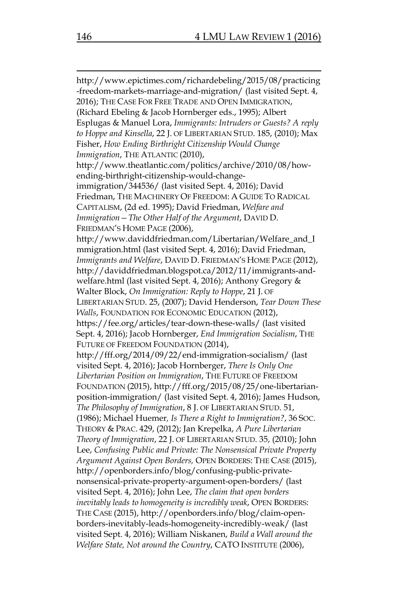http://www.epictimes.com/richardebeling/2015/08/practicing -freedom-markets-marriage-and-migration/ (last visited Sept. 4, 2016); THE CASE FOR FREE TRADE AND OPEN IMMIGRATION, (Richard Ebeling & Jacob Hornberger eds., 1995); Albert Esplugas & Manuel Lora, *Immigrants: Intruders or Guests? A reply to Hoppe and Kinsella*, 22 J. OF LIBERTARIAN STUD. 185, (2010); Max Fisher, *How Ending Birthright Citizenship Would Change Immigration*, THE ATLANTIC (2010), http://www.theatlantic.com/politics/archive/2010/08/howending-birthright-citizenship-would-changeimmigration/344536/ (last visited Sept. 4, 2016); David Friedman, THE MACHINERY OF FREEDOM: A GUIDE TO RADICAL CAPITALISM, (2d ed. 1995); David Friedman, *Welfare and Immigration—The Other Half of the Argument*, DAVID D. FRIEDMAN'S HOME PAGE (2006), http://www.daviddfriedman.com/Libertarian/Welfare\_and\_I mmigration.html (last visited Sept. 4, 2016); David Friedman, *Immigrants and Welfare*, DAVID D. FRIEDMAN'S HOME PAGE (2012), http://daviddfriedman.blogspot.ca/2012/11/immigrants-andwelfare.html (last visited Sept. 4, 2016); Anthony Gregory & Walter Block, *On Immigration: Reply to Hoppe*, 21 J. OF LIBERTARIAN STUD. 25, (2007); David Henderson, *Tear Down These Walls*, FOUNDATION FOR ECONOMIC EDUCATION (2012), https://fee.org/articles/tear-down-these-walls/ (last visited Sept. 4, 2016); Jacob Hornberger, *End Immigration Socialism*, THE FUTURE OF FREEDOM FOUNDATION (2014), http://fff.org/2014/09/22/end-immigration-socialism/ (last visited Sept. 4, 2016); Jacob Hornberger, *There Is Only One Libertarian Position on Immigration*, THE FUTURE OF FREEDOM FOUNDATION (2015), http://fff.org/2015/08/25/one-libertarianposition-immigration/ (last visited Sept. 4, 2016); James Hudson, *The Philosophy of Immigration*, 8 J. OF LIBERTARIAN STUD. 51, (1986); Michael Huemer*, Is There a Right to Immigration?*, 36 SOC. THEORY & PRAC. 429, (2012); Jan Krepelka, *A Pure Libertarian Theory of Immigration*, 22 J. OF LIBERTARIAN STUD. 35, (2010); John Lee, *Confusing Public and Private: The Nonsensical Private Property Argument Against Open Borders,* OPEN BORDERS: THE CASE (2015), http://openborders.info/blog/confusing-public-privatenonsensical-private-property-argument-open-borders/ (last visited Sept. 4, 2016); John Lee, *The claim that open borders inevitably leads to homogeneity is incredibly weak*, OPEN BORDERS: THE CASE (2015), http://openborders.info/blog/claim-openborders-inevitably-leads-homogeneity-incredibly-weak/ (last visited Sept. 4, 2016); William Niskanen, *Build a Wall around the Welfare State, Not around the Country*, CATO INSTITUTE (2006),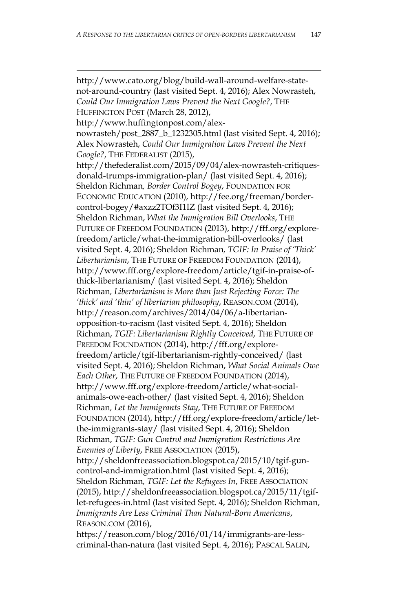$\overline{\phantom{a}}$ http://www.cato.org/blog/build-wall-around-welfare-statenot-around-country (last visited Sept. 4, 2016); Alex Nowrasteh, *Could Our Immigration Laws Prevent the Next Google?*, THE HUFFINGTON POST (March 28, 2012), http://www.huffingtonpost.com/alexnowrasteh/post\_2887\_b\_1232305.html (last visited Sept. 4, 2016); Alex Nowrasteh, *Could Our Immigration Laws Prevent the Next Google?*, THE FEDERALIST (2015), http://thefederalist.com/2015/09/04/alex-nowrasteh-critiquesdonald-trumps-immigration-plan/ (last visited Sept. 4, 2016); Sheldon Richman*, Border Control Bogey*, FOUNDATION FOR ECONOMIC EDUCATION (2010), http://fee.org/freeman/bordercontrol-bogey/#axzz2TOf3I1IZ (last visited Sept. 4, 2016); Sheldon Richman, *What the Immigration Bill Overlooks*, THE FUTURE OF FREEDOM FOUNDATION (2013), http://fff.org/explorefreedom/article/what-the-immigration-bill-overlooks/ (last visited Sept. 4, 2016); Sheldon Richman*, TGIF: In Praise of 'Thick' Libertarianism*, THE FUTURE OF FREEDOM FOUNDATION (2014), http://www.fff.org/explore-freedom/article/tgif-in-praise-ofthick-libertarianism/ (last visited Sept. 4, 2016); Sheldon Richman*, Libertarianism is More than Just Rejecting Force: The 'thick' and 'thin' of libertarian philosophy*, REASON.COM (2014), http://reason.com/archives/2014/04/06/a-libertarianopposition-to-racism (last visited Sept. 4, 2016); Sheldon Richman, *TGIF: Libertarianism Rightly Conceived*, THE FUTURE OF FREEDOM FOUNDATION (2014), http://fff.org/explorefreedom/article/tgif-libertarianism-rightly-conceived/ (last visited Sept. 4, 2016); Sheldon Richman, *What Social Animals Owe Each Other*, THE FUTURE OF FREEDOM FOUNDATION (2014), http://www.fff.org/explore-freedom/article/what-socialanimals-owe-each-other/ (last visited Sept. 4, 2016); Sheldon Richman*, Let the Immigrants Stay*, THE FUTURE OF FREEDOM FOUNDATION (2014), http://fff.org/explore-freedom/article/letthe-immigrants-stay/ (last visited Sept. 4, 2016); Sheldon Richman, *TGIF: Gun Control and Immigration Restrictions Are Enemies of Liberty*, FREE ASSOCIATION (2015), http://sheldonfreeassociation.blogspot.ca/2015/10/tgif-guncontrol-and-immigration.html (last visited Sept. 4, 2016); Sheldon Richman*, TGIF: Let the Refugees In*, FREE ASSOCIATION (2015), http://sheldonfreeassociation.blogspot.ca/2015/11/tgiflet-refugees-in.html (last visited Sept. 4, 2016); Sheldon Richman, *Immigrants Are Less Criminal Than Natural-Born Americans*, REASON.COM (2016),

https://reason.com/blog/2016/01/14/immigrants-are-lesscriminal-than-natura (last visited Sept. 4, 2016); PASCAL SALIN,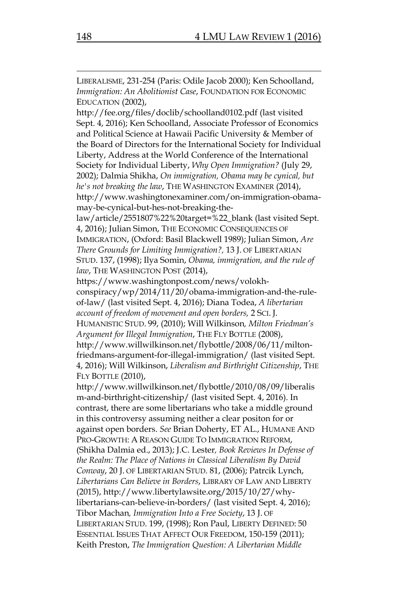LIBERALISME, 231-254 (Paris: Odile Jacob 2000); Ken Schoolland, *Immigration: An Abolitionist Case*, FOUNDATION FOR ECONOMIC EDUCATION (2002),

http://fee.org/files/doclib/schoolland0102.pdf (last visited Sept. 4, 2016); Ken Schoolland, Associate Professor of Economics and Political Science at Hawaii Pacific University & Member of the Board of Directors for the International Society for Individual Liberty, Address at the World Conference of the International Society for Individual Liberty, *Why Open Immigration?* (July 29, 2002); Dalmia Shikha, *On immigration, Obama may be cynical, but he's not breaking the law*, THE WASHINGTON EXAMINER (2014), http://www.washingtonexaminer.com/on-immigration-obamamay-be-cynical-but-hes-not-breaking-the-

law/article/2551807%22%20target=%22\_blank (last visited Sept. 4, 2016); Julian Simon, THE ECONOMIC CONSEQUENCES OF

IMMIGRATION, (Oxford: Basil Blackwell 1989); Julian Simon, *Are There Grounds for Limiting Immigration?,* 13 J. OF LIBERTARIAN STUD. 137, (1998); Ilya Somin, *Obama, immigration, and the rule of*  law, THE WASHINGTON POST (2014),

https://www.washingtonpost.com/news/volokhconspiracy/wp/2014/11/20/obama-immigration-and-the-ruleof-law/ (last visited Sept. 4, 2016); Diana Todea, *A libertarian account of freedom of movement and open borders,* 2 SCI. J.

HUMANISTIC STUD. 99, (2010); Will Wilkinson*, Milton Friedman's Argument for Illegal Immigration*, THE FLY BOTTLE (2008),

http://www.willwilkinson.net/flybottle/2008/06/11/miltonfriedmans-argument-for-illegal-immigration/ (last visited Sept. 4, 2016); Will Wilkinson, *Liberalism and Birthright Citizenship*, THE FLY BOTTLE (2010),

http://www.willwilkinson.net/flybottle/2010/08/09/liberalis m-and-birthright-citizenship/ (last visited Sept. 4, 2016). In contrast, there are some libertarians who take a middle ground in this controversy assuming neither a clear positon for or against open borders. *See* Brian Doherty, ET AL., HUMANE AND PRO-GROWTH: A REASON GUIDE TO IMMIGRATION REFORM, (Shikha Dalmia ed., 2013); J.C. Lester*, Book Reviews In Defense of the Realm: The Place of Nations in Classical Liberalism By David Conway*, 20 J. OF LIBERTARIAN STUD. 81, (2006); Patrcik Lynch, *Libertarians Can Believe in Borders*, LIBRARY OF LAW AND LIBERTY (2015), http://www.libertylawsite.org/2015/10/27/whylibertarians-can-believe-in-borders/ (last visited Sept. 4, 2016); Tibor Machan*, Immigration Into a Free Society*, 13 J. OF LIBERTARIAN STUD. 199, (1998); Ron Paul, LIBERTY DEFINED: 50 ESSENTIAL ISSUES THAT AFFECT OUR FREEDOM, 150-159 (2011); Keith Preston, *The Immigration Question: A Libertarian Middle*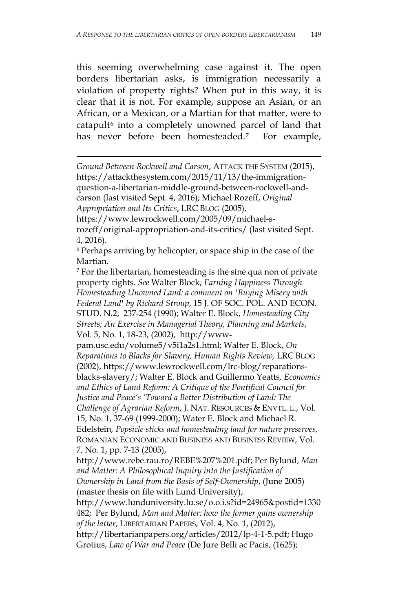this seeming overwhelming case against it. The open borders libertarian asks, is immigration necessarily a violation of property rights? When put in this way, it is clear that it is not. For example, suppose an Asian, or an African, or a Mexican, or a Martian for that matter, were to catapult<sup>[6](#page-7-0)</sup> into a completely unowned parcel of land that has never before been homesteaded.<sup>7</sup> For example,

*Ground Between Rockwell and Carson*, ATTACK THE SYSTEM (2015), https://attackthesystem.com/2015/11/13/the-immigrationquestion-a-libertarian-middle-ground-between-rockwell-andcarson (last visited Sept. 4, 2016); Michael Rozeff, *Original Appropriation and Its Critics*, LRC BLOG (2005),

 $\overline{a}$ 

https://www.lewrockwell.com/2005/09/michael-srozeff/original-appropriation-and-its-critics/ (last visited Sept. 4, 2016).

<span id="page-7-0"></span><sup>6</sup> Perhaps arriving by helicopter, or space ship in the case of the

<span id="page-7-1"></span>Martian.<br>7 For the libertarian, homesteading is the sine qua non of private property rights. *See* Walter Block, *Earning Happiness Through Homesteading Unowned Land: a comment on 'Buying Misery with Federal Land' by Richard Stroup*, 15 J. OF SOC. POL. AND ECON. STUD. N.2, 237-254 (1990); Walter E. Block, *Homesteading City Streets; An Exercise in Managerial Theory, Planning and Markets*, Vol. 5, No. 1, 18-23, (2002), http://www-

pam.usc.edu/volume5/v5i1a2s1.html; Walter E. Block, *On Reparations to Blacks for Slavery, Human Rights Review,* LRC BLOG (2002), https://www.lewrockwell.com/lrc-blog/reparationsblacks-slavery/; Walter E. Block and Guillermo Yeatts*, Economics and Ethics of Land Reform: A Critique of the Pontifical Council for Justice and Peace's 'Toward a Better Distribution of Land: The Challenge of Agrarian Reform*, J. NAT. RESOURCES & ENVTL. L., Vol. 15, No. 1, 37-69 (1999-2000); Water E. Block and Michael R. Edelstein*, Popsicle sticks and homesteading land for nature preserves,* ROMANIAN ECONOMIC AND BUSINESS AND BUSINESS REVIEW, Vol. 7, No. 1, pp. 7-13 (2005),

http://www.rebe.rau.ro/REBE%207%201.pdf; Per Bylund, *Man and Matter: A Philosophical Inquiry into the Justification of Ownership in Land from the Basis of Self-Ownership*, (June 2005) (master thesis on file with Lund University),

http://www.lunduniversity.lu.se/o.o.i.s?id=24965&postid=1330 482; Per Bylund, *Man and Matter: how the former gains ownership of the latter*, LIBERTARIAN PAPERS, Vol. 4, No. 1, (2012),

http://libertarianpapers.org/articles/2012/lp-4-1-5.pdf; Hugo Grotius, *Law of War and Peace* (De Jure Belli ac Pacis, (1625);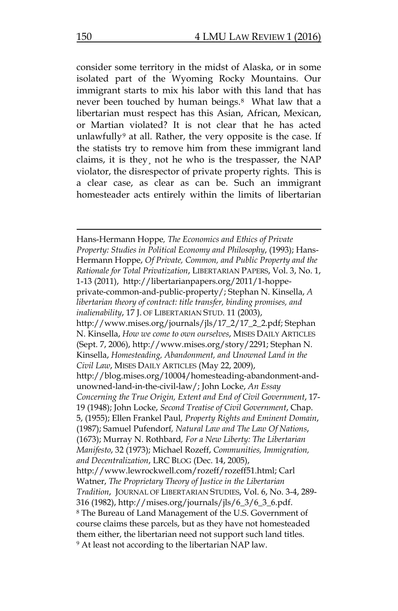consider some territory in the midst of Alaska, or in some isolated part of the Wyoming Rocky Mountains. Our immigrant starts to mix his labor with this land that has never been touched by human beings.<sup>[8](#page-8-0)</sup> What law that a libertarian must respect has this Asian, African, Mexican, or Martian violated? It is not clear that he has acted unlawfully<sup>[9](#page-8-1)</sup> at all. Rather, the very opposite is the case. If the statists try to remove him from these immigrant land claims, it is they¸ not he who is the trespasser, the NAP violator, the disrespector of private property rights. This is a clear case, as clear as can be. Such an immigrant homesteader acts entirely within the limits of libertarian

<span id="page-8-1"></span><span id="page-8-0"></span>Hans-Hermann Hoppe*, The Economics and Ethics of Private Property: Studies in Political Economy and Philosophy*, (1993); Hans-Hermann Hoppe, *Of Private, Common, and Public Property and the Rationale for Total Privatization*, LIBERTARIAN PAPERS, Vol. 3, No. 1, 1-13 (2011), http://libertarianpapers.org/2011/1-hoppeprivate-common-and-public-property/; Stephan N. Kinsella, *A libertarian theory of contract: title transfer, binding promises, and inalienability*, 17 J. OF LIBERTARIAN STUD. 11 (2003), http://www.mises.org/journals/jls/17\_2/17\_2\_2.pdf; Stephan N. Kinsella, *How we come to own ourselves*, MISES DAILY ARTICLES (Sept. 7, 2006), http://www.mises.org/story/2291; Stephan N. Kinsella, *Homesteading, Abandonment, and Unowned Land in the Civil Law*, MISES DAILY ARTICLES (May 22, 2009), http://blog.mises.org/10004/homesteading-abandonment-andunowned-land-in-the-civil-law/; John Locke, *An Essay Concerning the True Origin, Extent and End of Civil Government*, 17- 19 (1948); John Locke, *Second Treatise of Civil Government*, Chap. 5, (1955); Ellen Frankel Paul*, Property Rights and Eminent Domain*, (1987); Samuel Pufendorf*, Natural Law and The Law Of Nations*, (1673); Murray N. Rothbard*, For a New Liberty: The Libertarian Manifesto*, 32 (1973); Michael Rozeff, *Communities, Immigration, and Decentralization*, LRC BLOG (Dec. 14, 2005), http://www.lewrockwell.com/rozeff/rozeff51.html; Carl Watner, *The Proprietary Theory of Justice in the Libertarian Tradition*, JOURNAL OF LIBERTARIAN STUDIES, Vol. 6, No. 3-4, 289- 316 (1982), http://mises.org/journals/jls/6\_3/6\_3\_6.pdf. <sup>8</sup> The Bureau of Land Management of the U.S. Government of course claims these parcels, but as they have not homesteaded them either, the libertarian need not support such land titles. <sup>9</sup> At least not according to the libertarian NAP law.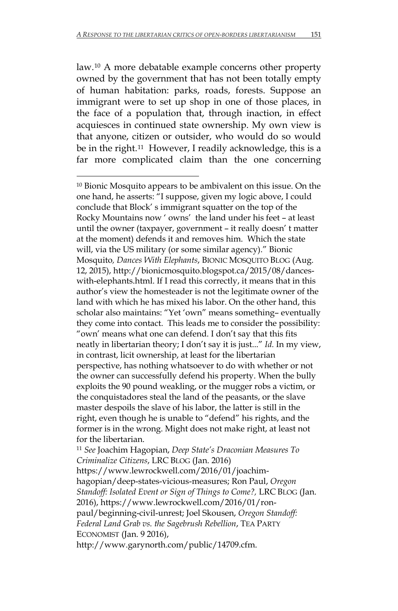law.[10](#page-9-0) A more debatable example concerns other property owned by the government that has not been totally empty of human habitation: parks, roads, forests. Suppose an immigrant were to set up shop in one of those places, in the face of a population that, through inaction, in effect acquiesces in continued state ownership. My own view is that anyone, citizen or outsider, who would do so would be in the right.[11](#page-9-1) However, I readily acknowledge, this is a far more complicated claim than the one concerning

 $\overline{a}$ 

<span id="page-9-0"></span><sup>10</sup> Bionic Mosquito appears to be ambivalent on this issue. On the one hand, he asserts: "I suppose, given my logic above, I could conclude that Block' s immigrant squatter on the top of the Rocky Mountains now ' owns' the land under his feet – at least until the owner (taxpayer, government – it really doesn' t matter at the moment) defends it and removes him. Which the state will, via the US military (or some similar agency)." Bionic Mosquito*, Dances With Elephants*, BIONIC MOSQUITO BLOG (Aug. 12, 2015), http://bionicmosquito.blogspot.ca/2015/08/danceswith-elephants.html. If I read this correctly, it means that in this author's view the homesteader is not the legitimate owner of the land with which he has mixed his labor. On the other hand, this scholar also maintains: "Yet 'own" means something– eventually they come into contact. This leads me to consider the possibility: "own' means what one can defend. I don't say that this fits neatly in libertarian theory; I don't say it is just..." *Id.* In my view, in contrast, licit ownership, at least for the libertarian perspective, has nothing whatsoever to do with whether or not the owner can successfully defend his property. When the bully exploits the 90 pound weakling, or the mugger robs a victim, or the conquistadores steal the land of the peasants, or the slave master despoils the slave of his labor, the latter is still in the right, even though he is unable to "defend" his rights, and the former is in the wrong. Might does not make right, at least not for the libertarian.

<span id="page-9-1"></span><sup>11</sup> *See* Joachim Hagopian, *Deep State's Draconian Measures To Criminalize Citizens*, LRC BLOG (Jan. 2016)

https://www.lewrockwell.com/2016/01/joachimhagopian/deep-states-vicious-measures; Ron Paul, *Oregon Standoff: Isolated Event or Sign of Things to Come?,* LRC BLOG (Jan. 2016), https://www.lewrockwell.com/2016/01/ronpaul/beginning-civil-unrest; Joel Skousen, *Oregon Standoff: Federal Land Grab vs. the Sagebrush Rebellion*, TEA PARTY ECONOMIST (Jan. 9 2016),

http://www.garynorth.com/public/14709.cfm.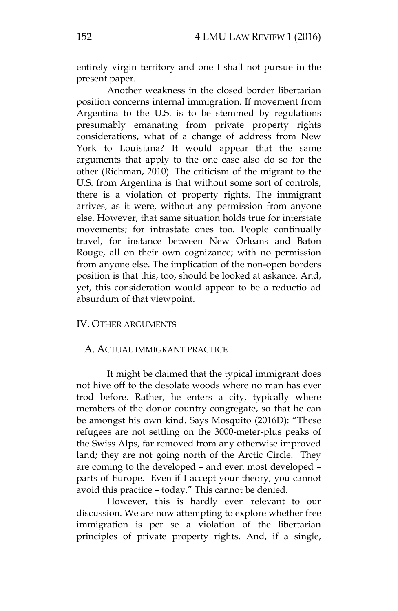entirely virgin territory and one I shall not pursue in the present paper.

Another weakness in the closed border libertarian position concerns internal immigration. If movement from Argentina to the U.S. is to be stemmed by regulations presumably emanating from private property rights considerations, what of a change of address from New York to Louisiana? It would appear that the same arguments that apply to the one case also do so for the other (Richman, 2010). The criticism of the migrant to the U.S. from Argentina is that without some sort of controls, there is a violation of property rights. The immigrant arrives, as it were, without any permission from anyone else. However, that same situation holds true for interstate movements; for intrastate ones too. People continually travel, for instance between New Orleans and Baton Rouge, all on their own cognizance; with no permission from anyone else. The implication of the non-open borders position is that this, too, should be looked at askance. And, yet, this consideration would appear to be a reductio ad absurdum of that viewpoint.

#### IV. OTHER ARGUMENTS

#### A. ACTUAL IMMIGRANT PRACTICE

It might be claimed that the typical immigrant does not hive off to the desolate woods where no man has ever trod before. Rather, he enters a city, typically where members of the donor country congregate, so that he can be amongst his own kind. Says Mosquito (2016D): "These refugees are not settling on the 3000-meter-plus peaks of the Swiss Alps, far removed from any otherwise improved land; they are not going north of the Arctic Circle. They are coming to the developed – and even most developed – parts of Europe. Even if I accept your theory, you cannot avoid this practice – today." This cannot be denied.

However, this is hardly even relevant to our discussion. We are now attempting to explore whether free immigration is per se a violation of the libertarian principles of private property rights. And, if a single,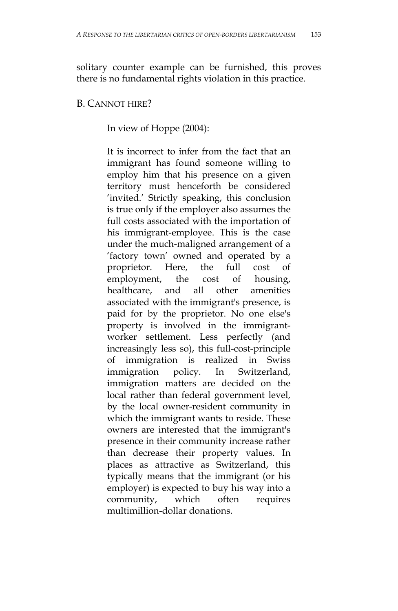solitary counter example can be furnished, this proves there is no fundamental rights violation in this practice.

### B. CANNOT HIRE?

In view of Hoppe (2004):

It is incorrect to infer from the fact that an immigrant has found someone willing to employ him that his presence on a given territory must henceforth be considered 'invited.' Strictly speaking, this conclusion is true only if the employer also assumes the full costs associated with the importation of his immigrant-employee. This is the case under the much-maligned arrangement of a 'factory town' owned and operated by a proprietor. Here, the full cost of employment, the cost of housing, healthcare, and all other amenities associated with the immigrant's presence, is paid for by the proprietor. No one else's property is involved in the immigrantworker settlement. Less perfectly (and increasingly less so), this full-cost-principle of immigration is realized in Swiss immigration policy. In Switzerland, immigration matters are decided on the local rather than federal government level, by the local owner-resident community in which the immigrant wants to reside. These owners are interested that the immigrant's presence in their community increase rather than decrease their property values. In places as attractive as Switzerland, this typically means that the immigrant (or his employer) is expected to buy his way into a community, which often requires multimillion-dollar donations.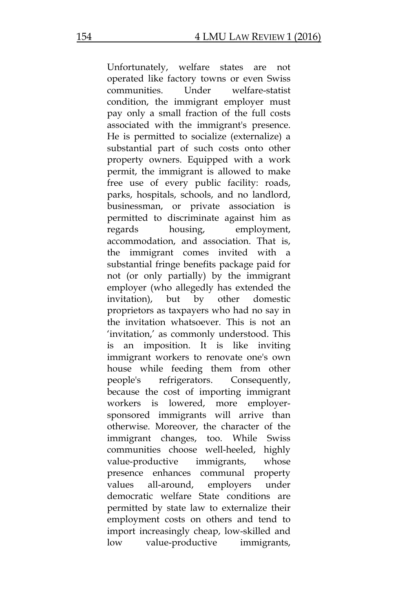Unfortunately, welfare states are not operated like factory towns or even Swiss communities. Under welfare-statist condition, the immigrant employer must pay only a small fraction of the full costs associated with the immigrant's presence. He is permitted to socialize (externalize) a substantial part of such costs onto other property owners. Equipped with a work permit, the immigrant is allowed to make free use of every public facility: roads, parks, hospitals, schools, and no landlord, businessman, or private association is permitted to discriminate against him as regards housing, employment, accommodation, and association. That is, the immigrant comes invited with a substantial fringe benefits package paid for not (or only partially) by the immigrant employer (who allegedly has extended the invitation), but by other domestic proprietors as taxpayers who had no say in the invitation whatsoever. This is not an 'invitation,' as commonly understood. This is an imposition. It is like inviting immigrant workers to renovate one's own house while feeding them from other people's refrigerators. Consequently, because the cost of importing immigrant workers is lowered, more employersponsored immigrants will arrive than otherwise. Moreover, the character of the immigrant changes, too. While Swiss communities choose well-heeled, highly value-productive immigrants, whose presence enhances communal property values all-around, employers under democratic welfare State conditions are permitted by state law to externalize their employment costs on others and tend to import increasingly cheap, low-skilled and low value-productive immigrants,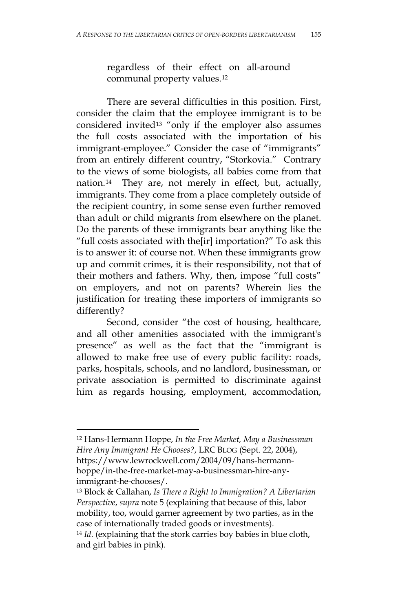regardless of their effect on all-around communal property values.[12](#page-13-0)

There are several difficulties in this position. First, consider the claim that the employee immigrant is to be considered invited[13](#page-13-1) "only if the employer also assumes the full costs associated with the importation of his immigrant-employee." Consider the case of "immigrants" from an entirely different country, "Storkovia." Contrary to the views of some biologists, all babies come from that nation.[14](#page-13-2) They are, not merely in effect, but, actually, immigrants. They come from a place completely outside of the recipient country, in some sense even further removed than adult or child migrants from elsewhere on the planet. Do the parents of these immigrants bear anything like the "full costs associated with the[ir] importation?" To ask this is to answer it: of course not. When these immigrants grow up and commit crimes, it is their responsibility, not that of their mothers and fathers. Why, then, impose "full costs" on employers, and not on parents? Wherein lies the justification for treating these importers of immigrants so differently?

Second, consider "the cost of housing, healthcare, and all other amenities associated with the immigrant's presence" as well as the fact that the "immigrant is allowed to make free use of every public facility: roads, parks, hospitals, schools, and no landlord, businessman, or private association is permitted to discriminate against him as regards housing, employment, accommodation,

<span id="page-13-0"></span><sup>12</sup> Hans-Hermann Hoppe, *In the Free Market, May a Businessman Hire Any Immigrant He Chooses?*, LRC BLOG (Sept. 22, 2004), https://www.lewrockwell.com/2004/09/hans-hermannhoppe/in-the-free-market-may-a-businessman-hire-anyimmigrant-he-chooses/.

<span id="page-13-1"></span><sup>13</sup> Block & Callahan, *Is There a Right to Immigration? A Libertarian Perspective*, *supra* note 5 (explaining that because of this, labor mobility, too, would garner agreement by two parties, as in the case of internationally traded goods or investments).

<span id="page-13-2"></span><sup>14</sup> *Id*. (explaining that the stork carries boy babies in blue cloth, and girl babies in pink).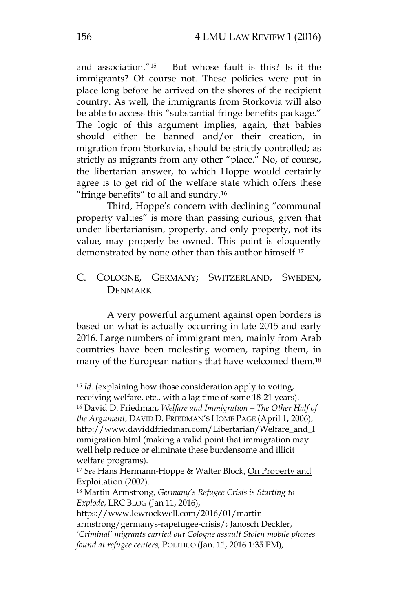and association."[15](#page-14-0) But whose fault is this? Is it the immigrants? Of course not. These policies were put in place long before he arrived on the shores of the recipient country. As well, the immigrants from Storkovia will also be able to access this "substantial fringe benefits package." The logic of this argument implies, again, that babies should either be banned and/or their creation, in migration from Storkovia, should be strictly controlled; as strictly as migrants from any other "place." No, of course, the libertarian answer, to which Hoppe would certainly agree is to get rid of the welfare state which offers these "fringe benefits" to all and sundry.[16](#page-14-1)

Third, Hoppe's concern with declining "communal property values" is more than passing curious, given that under libertarianism, property, and only property, not its value, may properly be owned. This point is eloquently demonstrated by none other than this author himself.[17](#page-14-2)

# C. COLOGNE, GERMANY; SWITZERLAND, SWEDEN, DENMARK

A very powerful argument against open borders is based on what is actually occurring in late 2015 and early 2016. Large numbers of immigrant men, mainly from Arab countries have been molesting women, raping them, in many of the European nations that have welcomed them.[18](#page-14-3)

<span id="page-14-1"></span><span id="page-14-0"></span><sup>15</sup> *Id.* (explaining how those consideration apply to voting, receiving welfare, etc., with a lag time of some 18-21 years). <sup>16</sup> David D. Friedman, *Welfare and Immigration—The Other Half of the Argument*, DAVID D. FRIEDMAN'S HOME PAGE (April 1, 2006), http://www.daviddfriedman.com/Libertarian/Welfare\_and\_I mmigration.html (making a valid point that immigration may well help reduce or eliminate these burdensome and illicit welfare programs).

<span id="page-14-2"></span><sup>17</sup> *See* Hans Hermann-Hoppe & Walter Block, On Property and Exploitation (2002).

<span id="page-14-3"></span><sup>18</sup> Martin Armstrong, *Germany's Refugee Crisis is Starting to Explode*, LRC BLOG (Jan 11, 2016),

https://www.lewrockwell.com/2016/01/martin-

armstrong/germanys-rapefugee-crisis/; Janosch Deckler, *'Criminal' migrants carried out Cologne assault Stolen mobile phones found at refugee centers,* POLITICO (Jan. 11, 2016 1:35 PM),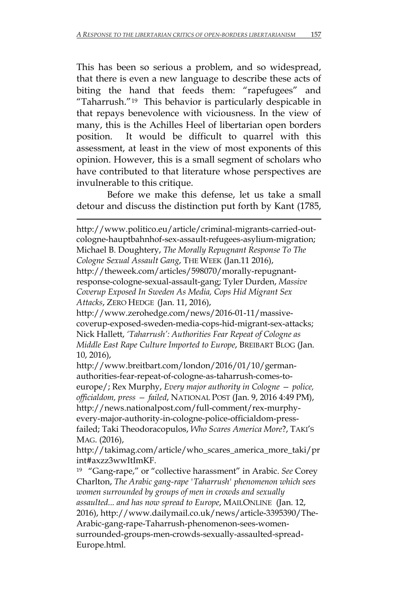This has been so serious a problem, and so widespread, that there is even a new language to describe these acts of biting the hand that feeds them: "rapefugees" and "Taharrush."[19](#page-15-0) This behavior is particularly despicable in that repays benevolence with viciousness. In the view of many, this is the Achilles Heel of libertarian open borders position. It would be difficult to quarrel with this assessment, at least in the view of most exponents of this opinion. However, this is a small segment of scholars who have contributed to that literature whose perspectives are invulnerable to this critique.

Before we make this defense, let us take a small detour and discuss the distinction put forth by Kant (1785,

 $\overline{\phantom{a}}$ 

http://www.politico.eu/article/criminal-migrants-carried-outcologne-hauptbahnhof-sex-assault-refugees-asylium-migration; Michael B. Doughtery, *The Morally Repugnant Response To The Cologne Sexual Assault Gang*, THE WEEK (Jan.11 2016), http://theweek.com/articles/598070/morally-repugnantresponse-cologne-sexual-assault-gang; Tyler Durden, *Massive Coverup Exposed In Sweden As Media, Cops Hid Migrant Sex Attacks*, ZERO HEDGE (Jan. 11, 2016), http://www.zerohedge.com/news/2016-01-11/massivecoverup-exposed-sweden-media-cops-hid-migrant-sex-attacks; Nick Hallett, *'Taharrush': Authorities Fear Repeat of Cologne as Middle East Rape Culture Imported to Europe*, BREIBART BLOG (Jan. 10, 2016), http://www.breitbart.com/london/2016/01/10/germanauthorities-fear-repeat-of-cologne-as-taharrush-comes-to-

europe/; Rex Murphy, *Every major authority in Cologne — police, officialdom, press — failed*, NATIONAL POST (Jan. 9, 2016 4:49 PM), http://news.nationalpost.com/full-comment/rex-murphyevery-major-authority-in-cologne-police-officialdom-pressfailed; Taki Theodoracopulos, *Who Scares America More*?, TAKI'S MAG. (2016),

http://takimag.com/article/who\_scares\_america\_more\_taki/pr int#axzz3wwItImKF.

<span id="page-15-0"></span>19 "Gang-rape," or "collective harassment" in Arabic. *See* Corey Charlton, *The Arabic gang-rape 'Taharrush' phenomenon which sees women surrounded by groups of men in crowds and sexually assaulted... and has now spread to Europe*, MAILONLINE (Jan. 12, 2016), http://www.dailymail.co.uk/news/article-3395390/The-Arabic-gang-rape-Taharrush-phenomenon-sees-womensurrounded-groups-men-crowds-sexually-assaulted-spread-Europe.html.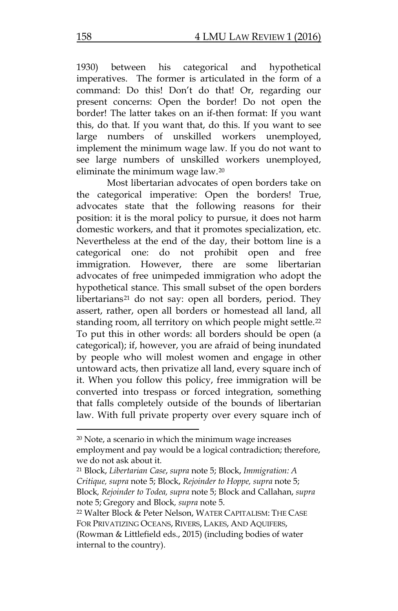1930) between his categorical and hypothetical imperatives. The former is articulated in the form of a command: Do this! Don't do that! Or, regarding our present concerns: Open the border! Do not open the border! The latter takes on an if-then format: If you want this, do that. If you want that, do this. If you want to see large numbers of unskilled workers unemployed, implement the minimum wage law. If you do not want to see large numbers of unskilled workers unemployed, eliminate the minimum wage law.[20](#page-16-0)

Most libertarian advocates of open borders take on the categorical imperative: Open the borders! True, advocates state that the following reasons for their position: it is the moral policy to pursue, it does not harm domestic workers, and that it promotes specialization, etc. Nevertheless at the end of the day, their bottom line is a categorical one: do not prohibit open and free immigration. However, there are some libertarian advocates of free unimpeded immigration who adopt the hypothetical stance. This small subset of the open borders libertarians<sup>[21](#page-16-1)</sup> do not say: open all borders, period. They assert, rather, open all borders or homestead all land, all standing room, all territory on which people might settle.<sup>[22](#page-16-2)</sup> To put this in other words: all borders should be open (a categorical); if, however, you are afraid of being inundated by people who will molest women and engage in other untoward acts, then privatize all land, every square inch of it. When you follow this policy, free immigration will be converted into trespass or forced integration, something that falls completely outside of the bounds of libertarian law. With full private property over every square inch of

<span id="page-16-1"></span><sup>21</sup> Block, *Libertarian Case*, *supra* note 5; Block, *Immigration: A Critique, supra* note 5; Block, *Rejoinder to Hoppe, supra* note 5; Block*, Rejoinder to Todea, supra* note 5; Block and Callahan, *supra* note 5; Gregory and Block*, supra* note 5.

<span id="page-16-0"></span> $20$  Note, a scenario in which the minimum wage increases employment and pay would be a logical contradiction; therefore, we do not ask about it.

<span id="page-16-2"></span><sup>22</sup> Walter Block & Peter Nelson, WATER CAPITALISM: THE CASE FOR PRIVATIZING OCEANS, RIVERS, LAKES, AND AQUIFERS, (Rowman & Littlefield eds., 2015) (including bodies of water internal to the country).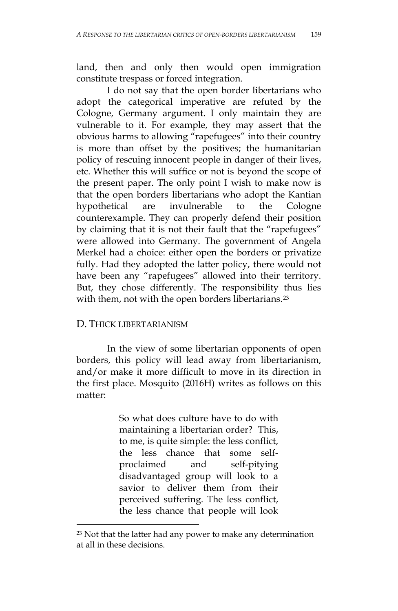land, then and only then would open immigration constitute trespass or forced integration.

I do not say that the open border libertarians who adopt the categorical imperative are refuted by the Cologne, Germany argument. I only maintain they are vulnerable to it. For example, they may assert that the obvious harms to allowing "rapefugees" into their country is more than offset by the positives; the humanitarian policy of rescuing innocent people in danger of their lives, etc. Whether this will suffice or not is beyond the scope of the present paper. The only point I wish to make now is that the open borders libertarians who adopt the Kantian hypothetical are invulnerable to the Cologne counterexample. They can properly defend their position by claiming that it is not their fault that the "rapefugees" were allowed into Germany. The government of Angela Merkel had a choice: either open the borders or privatize fully. Had they adopted the latter policy, there would not have been any "rapefugees" allowed into their territory. But, they chose differently. The responsibility thus lies with them, not with the open borders libertarians.<sup>[23](#page-17-0)</sup>

# D. THICK LIBERTARIANISM

 $\overline{\phantom{a}}$ 

In the view of some libertarian opponents of open borders, this policy will lead away from libertarianism, and/or make it more difficult to move in its direction in the first place. Mosquito (2016H) writes as follows on this matter:

> So what does culture have to do with maintaining a libertarian order? This, to me, is quite simple: the less conflict, the less chance that some selfproclaimed and self-pitying disadvantaged group will look to a savior to deliver them from their perceived suffering. The less conflict, the less chance that people will look

<span id="page-17-0"></span><sup>&</sup>lt;sup>23</sup> Not that the latter had any power to make any determination at all in these decisions.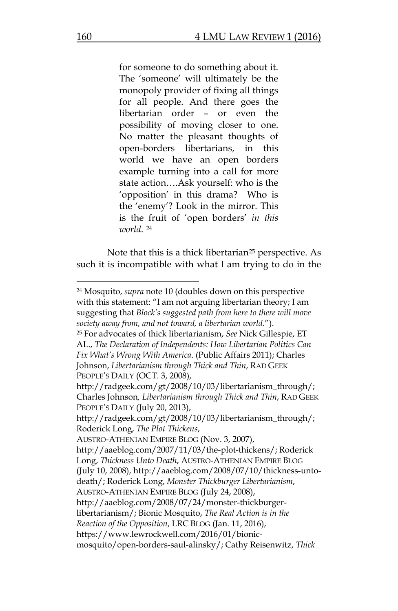for someone to do something about it. The 'someone' will ultimately be the monopoly provider of fixing all things for all people. And there goes the libertarian order – or even the possibility of moving closer to one. No matter the pleasant thoughts of open-borders libertarians, in this world we have an open borders example turning into a call for more state action….Ask yourself: who is the 'opposition' in this drama? Who is the 'enemy'? Look in the mirror. This is the fruit of 'open borders' *in this world*. [24](#page-18-0)

Note that this is a thick libertarian<sup>[25](#page-18-1)</sup> perspective. As such it is incompatible with what I am trying to do in the

AUSTRO-ATHENIAN EMPIRE BLOG (Nov. 3, 2007),

<span id="page-18-0"></span><sup>24</sup> Mosquito, *supra* note 10 (doubles down on this perspective with this statement: "I am not arguing libertarian theory; I am suggesting that *Block's suggested path from here to there will move society away from, and not toward, a libertarian world*.").

<span id="page-18-1"></span><sup>25</sup> For advocates of thick libertarianism, *See* Nick Gillespie, ET AL., *The Declaration of Independents: How Libertarian Politics Can Fix What's Wrong With America*. (Public Affairs 2011); Charles Johnson, *Libertarianism through Thick and Thin*, RAD GEEK PEOPLE'S DAILY (OCT. 3, 2008),

http://radgeek.com/gt/2008/10/03/libertarianism\_through/; Charles Johnson*, Libertarianism through Thick and Thin*, RAD GEEK PEOPLE'S DAILY (July 20, 2013),

http://radgeek.com/gt/2008/10/03/libertarianism\_through/; Roderick Long, *The Plot Thickens*,

http://aaeblog.com/2007/11/03/the-plot-thickens/; Roderick Long, *Thickness Unto Death*, AUSTRO-ATHENIAN EMPIRE BLOG (July 10, 2008), http://aaeblog.com/2008/07/10/thickness-untodeath/; Roderick Long, *Monster Thickburger Libertarianism*, AUSTRO-ATHENIAN EMPIRE BLOG (July 24, 2008), http://aaeblog.com/2008/07/24/monster-thickburgerlibertarianism/; Bionic Mosquito, *The Real Action is in the Reaction of the Opposition*, LRC BLOG (Jan. 11, 2016), https://www.lewrockwell.com/2016/01/bionic-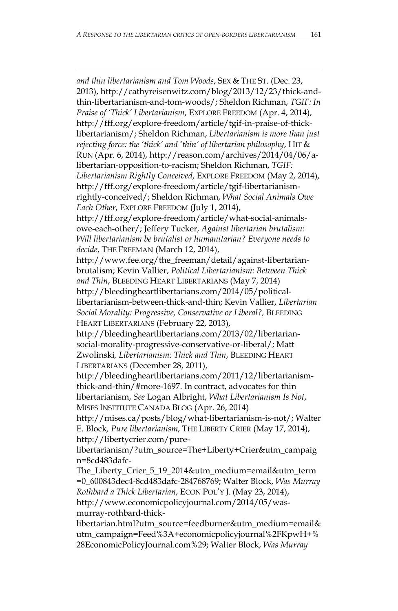$\overline{\phantom{a}}$ 

*and thin libertarianism and Tom Woods*, SEX & THE ST. (Dec. 23, 2013), http://cathyreisenwitz.com/blog/2013/12/23/thick-andthin-libertarianism-and-tom-woods/; Sheldon Richman, *TGIF: In Praise of 'Thick' Libertarianism*, EXPLORE FREEDOM (Apr. 4, 2014), http://fff.org/explore-freedom/article/tgif-in-praise-of-thicklibertarianism/; Sheldon Richman, *Libertarianism is more than just rejecting force: the 'thick' and 'thin' of libertarian philosophy*, HIT & RUN (Apr. 6, 2014), http://reason.com/archives/2014/04/06/alibertarian-opposition-to-racism; Sheldon Richman, *TGIF: Libertarianism Rightly Conceived*, EXPLORE FREEDOM (May 2, 2014), http://fff.org/explore-freedom/article/tgif-libertarianismrightly-conceived/; Sheldon Richman, *What Social Animals Owe Each Other*, EXPLORE FREEDOM (July 1, 2014), http://fff.org/explore-freedom/article/what-social-animalsowe-each-other/; Jeffery Tucker, *Against libertarian brutalism: Will libertarianism be brutalist or humanitarian? Everyone needs to decide*, THE FREEMAN (March 12, 2014), http://www.fee.org/the\_freeman/detail/against-libertarianbrutalism; Kevin Vallier, *Political Libertarianism: Between Thick and Thin*, BLEEDING HEART LIBERTARIANS (May 7, 2014) http://bleedingheartlibertarians.com/2014/05/politicallibertarianism-between-thick-and-thin; Kevin Vallier, *Libertarian Social Morality: Progressive, Conservative or Liberal?,* BLEEDING HEART LIBERTARIANS (February 22, 2013), http://bleedingheartlibertarians.com/2013/02/libertariansocial-morality-progressive-conservative-or-liberal/; Matt Zwolinski*, Libertarianism: Thick and Thin*, BLEEDING HEART LIBERTARIANS (December 28, 2011), http://bleedingheartlibertarians.com/2011/12/libertarianismthick-and-thin/#more-1697. In contract, advocates for thin libertarianism, *See* Logan Albright, *What Libertarianism Is Not*, MISES INSTITUTE CANADA BLOG (Apr. 26, 2014)

http://mises.ca/posts/blog/what-libertarianism-is-not/; Walter E. Block*, Pure libertarianism*, THE LIBERTY CRIER (May 17, 2014), http://libertycrier.com/pure-

libertarianism/?utm\_source=The+Liberty+Crier&utm\_campaig n=8cd483dafc-

The\_Liberty\_Crier\_5\_19\_2014&utm\_medium=email&utm\_term =0\_600843dec4-8cd483dafc-284768769; Walter Block, *Was Murray Rothbard a Thick Libertarian*, ECON POL'Y J. (May 23, 2014), http://www.economicpolicyjournal.com/2014/05/wasmurray-rothbard-thick-

libertarian.html?utm\_source=feedburner&utm\_medium=email& utm\_campaign=Feed%3A+economicpolicyjournal%2FKpwH+% 28EconomicPolicyJournal.com%29; Walter Block, *Was Murray*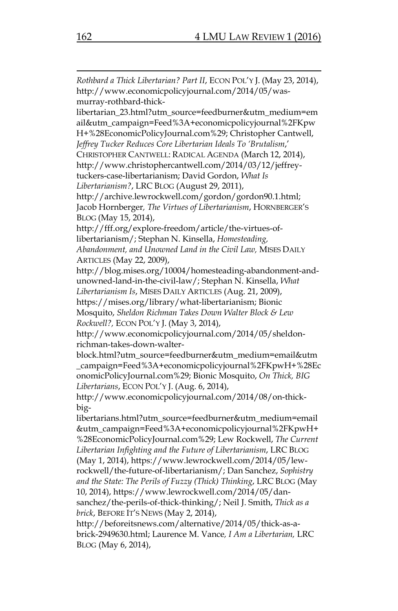*Rothbard a Thick Libertarian? Part II*, ECON POL'Y J. (May 23, 2014), http://www.economicpolicyjournal.com/2014/05/wasmurray-rothbard-thicklibertarian\_23.html?utm\_source=feedburner&utm\_medium=em ail&utm\_campaign=Feed%3A+economicpolicyjournal%2FKpw H+%28EconomicPolicyJournal.com%29; Christopher Cantwell, *Jeffrey Tucker Reduces Core Libertarian Ideals To 'Brutalism*,' CHRISTOPHER CANTWELL: RADICAL AGENDA (March 12, 2014), http://www.christophercantwell.com/2014/03/12/jeffreytuckers-case-libertarianism; David Gordon, *What Is Libertarianism?*, LRC BLOG (August 29, 2011), http://archive.lewrockwell.com/gordon/gordon90.1.html; Jacob Hornberger*, The Virtues of Libertarianism*, HORNBERGER'S BLOG (May 15, 2014), http://fff.org/explore-freedom/article/the-virtues-oflibertarianism/; Stephan N. Kinsella, *Homesteading, Abandonment, and Unowned Land in the Civil Law,* MISES DAILY ARTICLES (May 22, 2009), http://blog.mises.org/10004/homesteading-abandonment-andunowned-land-in-the-civil-law/; Stephan N. Kinsella, *What Libertarianism Is*, MISES DAILY ARTICLES (Aug. 21, 2009), https://mises.org/library/what-libertarianism; Bionic Mosquito, *Sheldon Richman Takes Down Walter Block & Lew Rockwell?,* ECON POL'Y J. (May 3, 2014), http://www.economicpolicyjournal.com/2014/05/sheldonrichman-takes-down-walterblock.html?utm\_source=feedburner&utm\_medium=email&utm \_campaign=Feed%3A+economicpolicyjournal%2FKpwH+%28Ec onomicPolicyJournal.com%29; Bionic Mosquito, *On Thick, BIG Libertarians*, ECON POL'Y J. (Aug. 6, 2014), http://www.economicpolicyjournal.com/2014/08/on-thickbiglibertarians.html?utm\_source=feedburner&utm\_medium=email &utm\_campaign=Feed%3A+economicpolicyjournal%2FKpwH+ %28EconomicPolicyJournal.com%29; Lew Rockwell, *The Current Libertarian Infighting and the Future of Libertarianism*, LRC BLOG (May 1, 2014), https://www.lewrockwell.com/2014/05/lewrockwell/the-future-of-libertarianism/; Dan Sanchez, *Sophistry and the State: The Perils of Fuzzy (Thick) Thinking*, LRC BLOG (May 10, 2014), https://www.lewrockwell.com/2014/05/dansanchez/the-perils-of-thick-thinking/; Neil J. Smith, *Thick as a brick*, BEFORE IT'S NEWS (May 2, 2014),

http://beforeitsnews.com/alternative/2014/05/thick-as-abrick-2949630.html; Laurence M. Vance*, I Am a Libertarian,* LRC BLOG (May 6, 2014),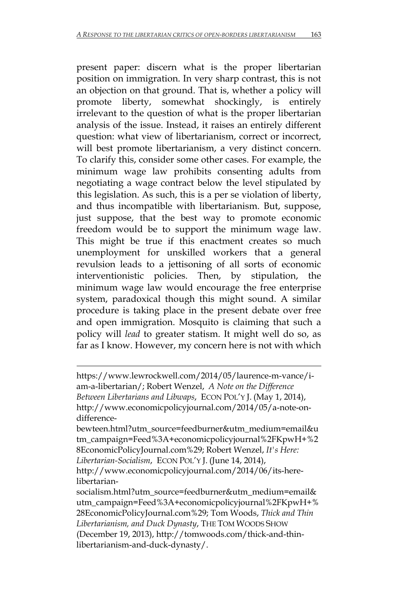present paper: discern what is the proper libertarian position on immigration. In very sharp contrast, this is not an objection on that ground. That is, whether a policy will promote liberty, somewhat shockingly, is entirely irrelevant to the question of what is the proper libertarian analysis of the issue. Instead, it raises an entirely different question: what view of libertarianism, correct or incorrect, will best promote libertarianism, a very distinct concern. To clarify this, consider some other cases. For example, the minimum wage law prohibits consenting adults from negotiating a wage contract below the level stipulated by this legislation. As such, this is a per se violation of liberty, and thus incompatible with libertarianism. But, suppose, just suppose, that the best way to promote economic freedom would be to support the minimum wage law. This might be true if this enactment creates so much unemployment for unskilled workers that a general revulsion leads to a jettisoning of all sorts of economic interventionistic policies. Then, by stipulation, the minimum wage law would encourage the free enterprise system, paradoxical though this might sound. A similar procedure is taking place in the present debate over free and open immigration. Mosquito is claiming that such a policy will *lead* to greater statism. It might well do so, as far as I know. However, my concern here is not with which

https://www.lewrockwell.com/2014/05/laurence-m-vance/iam-a-libertarian/; Robert Wenzel, *A Note on the Difference Between Libertarians and Libwaps*, ECON POL'Y J. (May 1, 2014), http://www.economicpolicyjournal.com/2014/05/a-note-ondifference-

bewteen.html?utm\_source=feedburner&utm\_medium=email&u tm\_campaign=Feed%3A+economicpolicyjournal%2FKpwH+%2 8EconomicPolicyJournal.com%29; Robert Wenzel, *It's Here: Libertarian-Socialism*, ECON POL'Y J. (June 14, 2014),

http://www.economicpolicyjournal.com/2014/06/its-herelibertarian-

socialism.html?utm\_source=feedburner&utm\_medium=email& utm\_campaign=Feed%3A+economicpolicyjournal%2FKpwH+% 28EconomicPolicyJournal.com%29; Tom Woods, *Thick and Thin Libertarianism, and Duck Dynasty*, THE TOM WOODS SHOW (December 19, 2013), http://tomwoods.com/thick-and-thinlibertarianism-and-duck-dynasty/.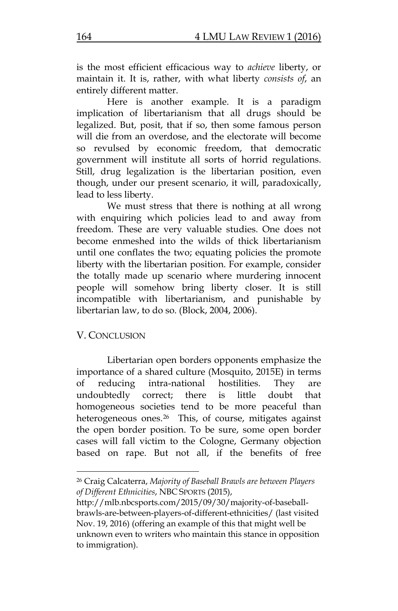is the most efficient efficacious way to *achieve* liberty, or maintain it. It is, rather, with what liberty *consists of*, an entirely different matter.

Here is another example. It is a paradigm implication of libertarianism that all drugs should be legalized. But, posit, that if so, then some famous person will die from an overdose, and the electorate will become so revulsed by economic freedom, that democratic government will institute all sorts of horrid regulations. Still, drug legalization is the libertarian position, even though, under our present scenario, it will, paradoxically, lead to less liberty.

We must stress that there is nothing at all wrong with enquiring which policies lead to and away from freedom. These are very valuable studies. One does not become enmeshed into the wilds of thick libertarianism until one conflates the two; equating policies the promote liberty with the libertarian position. For example, consider the totally made up scenario where murdering innocent people will somehow bring liberty closer. It is still incompatible with libertarianism, and punishable by libertarian law, to do so. (Block, 2004, 2006).

# V. CONCLUSION

 $\overline{a}$ 

Libertarian open borders opponents emphasize the importance of a shared culture (Mosquito, 2015E) in terms of reducing intra-national hostilities. They are undoubtedly correct; there is little doubt that homogeneous societies tend to be more peaceful than heterogeneous ones.<sup>[26](#page-22-0)</sup> This, of course, mitigates against the open border position. To be sure, some open border cases will fall victim to the Cologne, Germany objection based on rape. But not all, if the benefits of free

<span id="page-22-0"></span><sup>26</sup> Craig Calcaterra, *Majority of Baseball Brawls are between Players of Different Ethnicities*, NBC SPORTS (2015),

http://mlb.nbcsports.com/2015/09/30/majority-of-baseballbrawls-are-between-players-of-different-ethnicities/ (last visited Nov. 19, 2016) (offering an example of this that might well be unknown even to writers who maintain this stance in opposition to immigration).